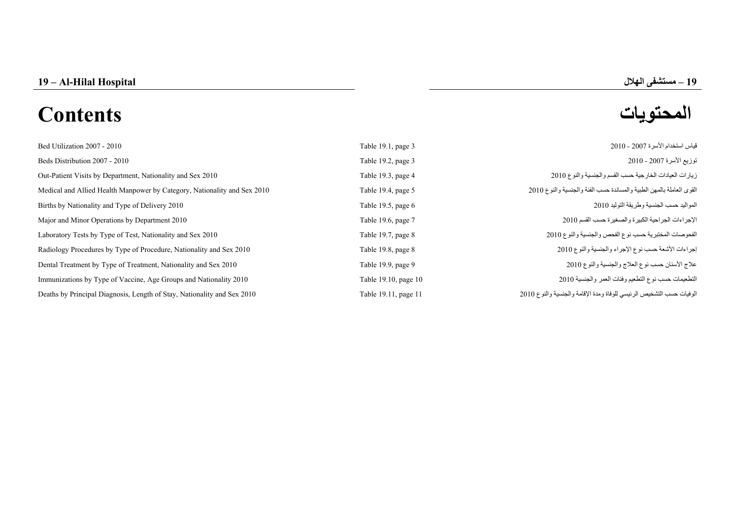**–**

# **المحتويات Contents**

| Bed Utilization 2007 - 2010                                              | Table 19.1, page 3   | قياس استخدام الأسرة 2007 - 2010                                      |
|--------------------------------------------------------------------------|----------------------|----------------------------------------------------------------------|
| Beds Distribution 2007 - 2010                                            | Table 19.2, page 3   | توزيع الأسرة 2007 - 2010                                             |
| Out-Patient Visits by Department, Nationality and Sex 2010               | Table 19.3, page 4   | زيارات العيادات الخارجية حسب القسم والجنسية والنوع 2010              |
| Medical and Allied Health Manpower by Category, Nationality and Sex 2010 | Table 19.4, page 5   | القوى العاملة بالمهن الطبية والمساندة حسب الفئة والجنسية والنوع 2010 |
| Births by Nationality and Type of Delivery 2010                          | Table 19.5, page 6   | المواليد حسب الجنسية وطريقة التوليد 2010                             |
| Major and Minor Operations by Department 2010                            | Table 19.6, page 7   | الإجراءات الجراحية الكبيرة والصغيرة حسب القسم 2010                   |
| Laboratory Tests by Type of Test, Nationality and Sex 2010               | Table 19.7, page 8   | الفحوصات المختبرية حسب نوع الفحص والجنسية والنوع 2010                |
| Radiology Procedures by Type of Procedure, Nationality and Sex 2010      | Table 19.8, page 8   | إجراءات الأشعة حسب نوع الإجراء والجنسية والنوع 2010                  |
| Dental Treatment by Type of Treatment, Nationality and Sex 2010          | Table 19.9, page 9   | علاج الأسنان حسب نوع العلاج والجنسية والنوع 2010                     |
| Immunizations by Type of Vaccine, Age Groups and Nationality 2010        | Table 19.10, page 10 | التطعيمات حسب نوع التطعيم وفئات العمر والجنسية 2010                  |
| Deaths by Principal Diagnosis, Length of Stay, Nationality and Sex 2010  | Table 19.11, page 11 | الوفيات حسب التشخيص الرئيسي للوفاة ومدة الإقامة والجنسية والنوع 2010 |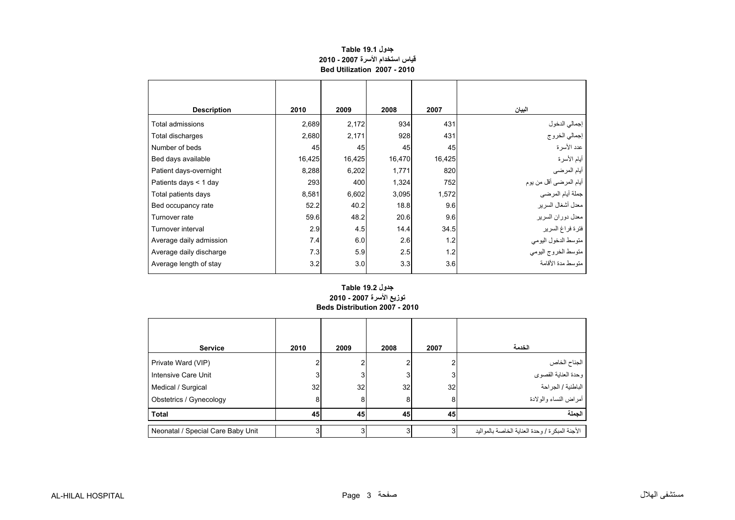# **قياس استخدام األسرة 2007 - 2010 Bed Utilization 2007 - 2010 جدول 19.1 Table**

<span id="page-1-0"></span>

| <b>Description</b>      | 2010   | 2009   | 2008   | 2007   | البيان                 |
|-------------------------|--------|--------|--------|--------|------------------------|
| Total admissions        | 2,689  | 2,172  | 934    | 431    | إجمالي الدخول          |
| Total discharges        | 2,680  | 2,171  | 928    | 431    | إجمالي الخروج          |
| Number of beds          | 45     | 45     | 45     | 45     | عدد الأسر ة            |
| Bed days available      | 16,425 | 16,425 | 16,470 | 16,425 | أيام الأسرة            |
| Patient days-overnight  | 8,288  | 6,202  | 1,771  | 820    | أيام المرضي            |
| Patients days < 1 day   | 293    | 400    | 1,324  | 752    | أيام المرضى أقل من يوم |
| Total patients days     | 8,581  | 6,602  | 3,095  | 1,572  | جملة أيام المرضى       |
| Bed occupancy rate      | 52.2   | 40.2   | 18.8   | 9.6    | معدل أشغال السرير      |
| Turnover rate           | 59.6   | 48.2   | 20.6   | 9.6    | معدل دوران السرير      |
| Turnover interval       | 2.9    | 4.5    | 14.4   | 34.5   | فترة فراغ السرير       |
| Average daily admission | 7.4    | 6.0    | 2.6    | 1.2    | متوسط الدخول اليومي    |
| Average daily discharge | 7.3    | 5.9    | 2.5    | 1.2    | متوسط الخروج اليومي    |
| Average length of stay  | 3.2    | 3.0    | 3.3    | 3.6    | منّه سط مدة الأقامة    |

#### **Beds Distribution 2007 - 2010 جدول 19.2 Table توزيع األسرة 2007 - 2010**

| <b>Service</b>                    | 2010 | 2009 | 2008 | 2007 | الخدمة                                            |
|-----------------------------------|------|------|------|------|---------------------------------------------------|
| Private Ward (VIP)                |      |      |      |      | الجناح الخاص                                      |
| Intensive Care Unit               | J.   | 3    | 3    | 3    | -<br>وحدة العناية القصوي                          |
| Medical / Surgical                | 32   | 32   | 32   | 32   | الباطنية / الجراحة                                |
| Obstetrics / Gynecology           | 8    | 8    | 8    | 8    | أمراض النساء والولادة                             |
| <b>Total</b>                      | 45   | 45   | 45   | 45   | الجملة                                            |
| Neonatal / Special Care Baby Unit |      | 3    | 3    |      | الأجنة المبكر ة / و حدة العناية الخاصة بالمو اليد |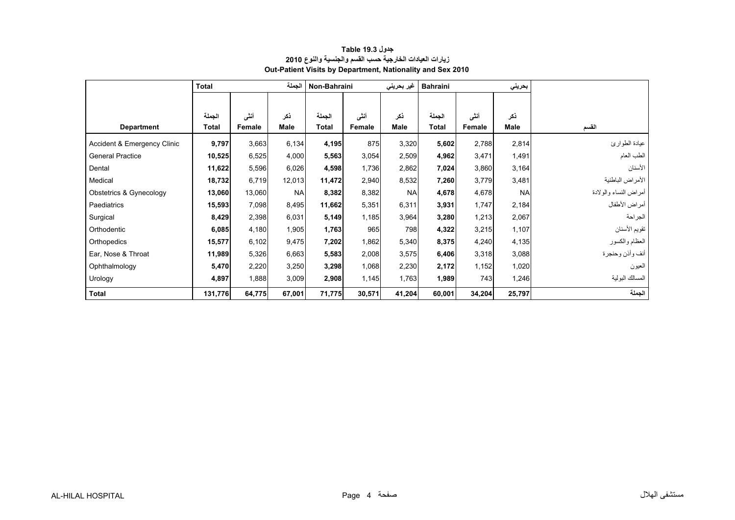<span id="page-2-0"></span>

|                             | الجملة<br>Total |        |           | Non-Bahraini<br>غير بحريني |        | <b>Bahraini</b> |        | بحريني |           |                       |
|-----------------------------|-----------------|--------|-----------|----------------------------|--------|-----------------|--------|--------|-----------|-----------------------|
|                             |                 |        |           |                            |        |                 |        |        |           |                       |
|                             | الجملة          | أنشى   | ذكر       | الجملة                     | أنشى   | ذكر             | الجملة | أنشى   | ذكر       |                       |
| <b>Department</b>           | Total           | Female | Male      | <b>Total</b>               | Female | Male            | Total  | Female | Male      | القسم                 |
| Accident & Emergency Clinic | 9,797           | 3,663  | 6,134     | 4,195                      | 875    | 3,320           | 5,602  | 2,788  | 2,814     | عيادة الطوارئ         |
| <b>General Practice</b>     | 10,525          | 6,525  | 4,000     | 5,563                      | 3,054  | 2,509           | 4,962  | 3,471  | 1,491     | الطب العام            |
| Dental                      | 11,622          | 5,596  | 6,026     | 4,598                      | 1,736  | 2,862           | 7,024  | 3,860  | 3,164     | الأسنان               |
| Medical                     | 18,732          | 6,719  | 12,013    | 11,472                     | 2,940  | 8,532           | 7,260  | 3,779  | 3,481     | الأمراض الباطنية      |
| Obstetrics & Gynecology     | 13,060          | 13,060 | <b>NA</b> | 8,382                      | 8,382  | <b>NA</b>       | 4,678  | 4,678  | <b>NA</b> | أمراض النساء والولادة |
| Paediatrics                 | 15,593          | 7,098  | 8,495     | 11,662                     | 5,351  | 6,311           | 3,931  | 1,747  | 2,184     | أمراض الأطفال         |
| Surgical                    | 8,429           | 2,398  | 6,031     | 5,149                      | 1,185  | 3,964           | 3,280  | 1,213  | 2,067     | الجراحة               |
| Orthodentic                 | 6,085           | 4,180  | 1,905     | 1,763                      | 965    | 798             | 4,322  | 3,215  | 1,107     | تقويم الأسنان         |
| Orthopedics                 | 15,577          | 6,102  | 9,475     | 7,202                      | 1,862  | 5,340           | 8,375  | 4,240  | 4,135     | العظام والكسور        |
| Ear, Nose & Throat          | 11,989          | 5,326  | 6,663     | 5,583                      | 2,008  | 3,575           | 6,406  | 3,318  | 3,088     | أنف وأذن وحنجرة       |
| Ophthalmology               | 5,470           | 2,220  | 3,250     | 3,298                      | 1,068  | 2,230           | 2,172  | 1,152  | 1,020     | العيون                |
| Urology                     | 4,897           | 1,888  | 3,009     | 2,908                      | 1,145  | 1,763           | 1,989  | 743    | 1,246     | المسالك البولية       |
| <b>Total</b>                | 131,776         | 64,775 | 67,001    | 71,775                     | 30,571 | 41,204          | 60,001 | 34,204 | 25,797    | الجملة                |

## **زيارات العيادات الخارجية حسب القسم والجنسية والنوع <sup>2010</sup> Out-Patient Visits by Department, Nationality and Sex 2010 جدول 19.3 Table**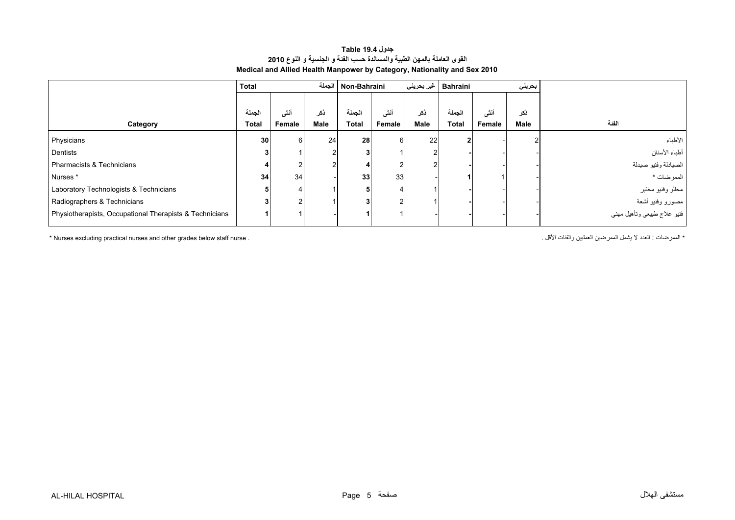#### **القوى العاملة بالمھن الطبية والمساندة حسب الفئة <sup>و</sup> الجنسية <sup>و</sup> النوع <sup>2010</sup> Medical and Allied Health Manpower by Category, Nationality and Sex 2010 جدول 19.4 Table**

<span id="page-3-0"></span>

|                                                         | <b>Total</b>    |               | الحملة | Non-Bahraini    |        | Bahraini   غیر بحرین <i>ي</i> |              | بحريني |        |                             |
|---------------------------------------------------------|-----------------|---------------|--------|-----------------|--------|-------------------------------|--------------|--------|--------|-----------------------------|
|                                                         |                 |               |        |                 |        |                               |              |        |        |                             |
|                                                         | الجملة          | أنشى          | ذكر    | الجملة          | أنشى   | ذكر                           | الجملة       | أنشى   | ذكر    |                             |
| Category                                                | Total           | Female        | Male   | <b>Total</b>    | Female | Male                          | <b>Total</b> | Female | Male   | الفئة                       |
| Physicians                                              | 30 <sub>1</sub> | $6 \mid$      | 24     | 28              | 6      | 22                            |              |        | $\sim$ | الأطباء                     |
| Dentists                                                |                 |               |        |                 |        |                               |              |        |        | أطباء الأسنان               |
| Pharmacists & Technicians                               |                 | 2             |        |                 |        |                               |              |        |        | الصيادلة وفنيو صيدلة        |
| Nurses *                                                | 34              | 34            |        | 33 <sup>1</sup> | 33     |                               |              |        |        | الممرضات *                  |
| Laboratory Technologists & Technicians                  |                 |               |        |                 |        |                               |              |        |        | مطلو وفنيو مختبر            |
| Radiographers & Technicians                             |                 | $\mathcal{P}$ |        | 3               |        |                               |              |        |        | مصورو وفنيو أشعة            |
| Physiotherapists, Occupational Therapists & Technicians |                 |               |        |                 |        |                               |              |        |        | فنيو علاج طبيعي وتأهيل مهني |

\* العدد لا يشمل الصرضين العمليين والفئات الأقل . . . . . . . " " محمد لا يشمل الممرضين المعليين والفئات الأقل و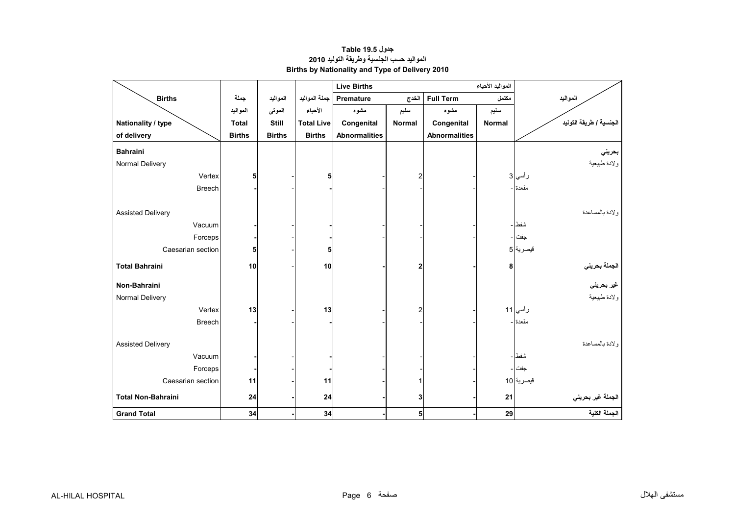<span id="page-4-0"></span>

|                           |               |               |                   | <b>Live Births</b>   |                |                      | المواليد الأحياء |                                             |
|---------------------------|---------------|---------------|-------------------|----------------------|----------------|----------------------|------------------|---------------------------------------------|
| <b>Births</b>             | جملة          | المواليد      | جملة المواليد     | Premature            | الخدج          | <b>Full Term</b>     | مكتمل            | المواليد                                    |
|                           | المواليد      | الموتى        | الأحياء           | مشوه                 | سليم           | مشوه                 | سليم             |                                             |
| Nationality / type        | <b>Total</b>  | Still         | <b>Total Live</b> | Congenital           | <b>Normal</b>  | Congenital           | Normal           | الجنسية / طريقة التوليد                     |
| of delivery               | <b>Births</b> | <b>Births</b> | <b>Births</b>     | <b>Abnormalities</b> |                | <b>Abnormalities</b> |                  |                                             |
| <b>Bahraini</b>           |               |               |                   |                      |                |                      |                  | بحريني                                      |
| Normal Delivery           |               |               |                   |                      |                |                      |                  | ولادة طبيعية                                |
| Vertex                    | 5             |               | 5                 |                      | 2              |                      |                  | ر أسي 3                                     |
| <b>Breech</b>             |               |               |                   |                      |                |                      |                  | مقعدة ا-                                    |
|                           |               |               |                   |                      |                |                      |                  |                                             |
| <b>Assisted Delivery</b>  |               |               |                   |                      |                |                      |                  | ولادة بالمساعدة                             |
| Vacuum                    |               |               |                   |                      |                |                      |                  | شفط -                                       |
| Forceps                   |               |               |                   |                      |                |                      |                  | جفت ا -                                     |
| Caesarian section         | 5             |               | 5                 |                      |                |                      |                  | قيصرية 5                                    |
| <b>Total Bahraini</b>     | 10            |               | 10                |                      | $\mathbf{2}$   |                      | 8                |                                             |
| Non-Bahraini              |               |               |                   |                      |                |                      |                  | الجملة بحرين <i>ي</i><br>غير بحرين <i>ي</i> |
| Normal Delivery           |               |               |                   |                      |                |                      |                  | ولادة طبيعية                                |
| Vertex                    | 13            |               | 13                |                      | $\overline{c}$ |                      |                  | رأسي 11                                     |
| <b>Breech</b>             |               |               |                   |                      |                |                      |                  | مقعدة -                                     |
|                           |               |               |                   |                      |                |                      |                  |                                             |
| <b>Assisted Delivery</b>  |               |               |                   |                      |                |                      |                  | ولادة بالمساعدة                             |
| Vacuum                    |               |               |                   |                      |                |                      |                  | شفط ا ـ                                     |
| Forceps                   |               |               |                   |                      |                |                      |                  | جفت -                                       |
| Caesarian section         | 11            |               | 11                |                      |                |                      |                  | قبصرية 10                                   |
| <b>Total Non-Bahraini</b> | 24            |               | 24                |                      | 3              |                      | 21               | الجملة غير بحريني                           |
| <b>Grand Total</b>        | 34            |               | 34                |                      | 5              |                      | 29               | الجملة الكلية                               |

# **المواليد حسب الجنسية وطريقة التوليد <sup>2010</sup> Births by Nationality and Type of Delivery 2010 جدول 19.5 Table**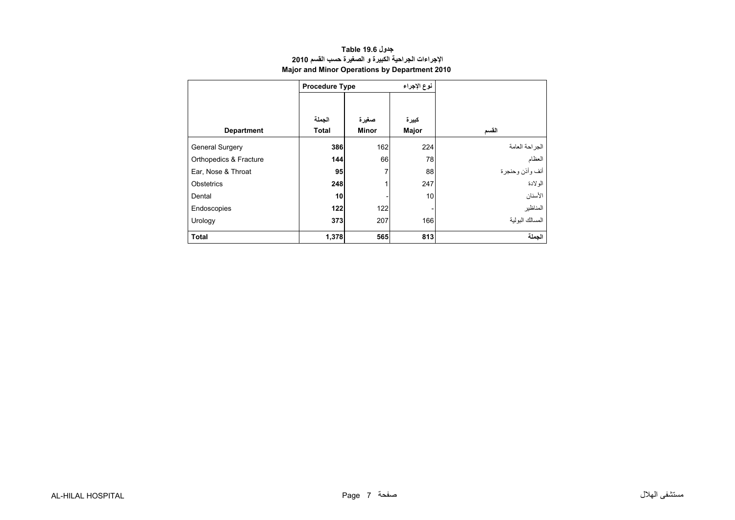<span id="page-5-0"></span>

|                        | <b>Procedure Type</b>  |                       | نوع الإجراء    |                 |
|------------------------|------------------------|-----------------------|----------------|-----------------|
| <b>Department</b>      | الجملة<br><b>Total</b> | صغيرة<br><b>Minor</b> | كبيرة<br>Major | القسم           |
| <b>General Surgery</b> | 386                    | 162                   | 224            | الجراحة العامة  |
| Orthopedics & Fracture | 144                    | 66                    | 78             | العظام          |
| Ear, Nose & Throat     | 95                     | 7                     | 88             | أنف وأذن وحنجرة |
| Obstetrics             | 248                    |                       | 247            | الو لادة        |
| Dental                 | 10                     |                       | 10             | الأسنان         |
| Endoscopies            | 122                    | 122                   |                | المناظير        |
| Urology                | 373                    | 207                   | 166            | المسالك البولبة |
| <b>Total</b>           | 1,378                  | 565                   | 813            | الجملة          |

# **اإلجراءات الجراحية الكبيرة <sup>و</sup> الصغيرة حسب القسم <sup>2010</sup> Major and Minor Operations by Department 2010 جدول 19.6 Table**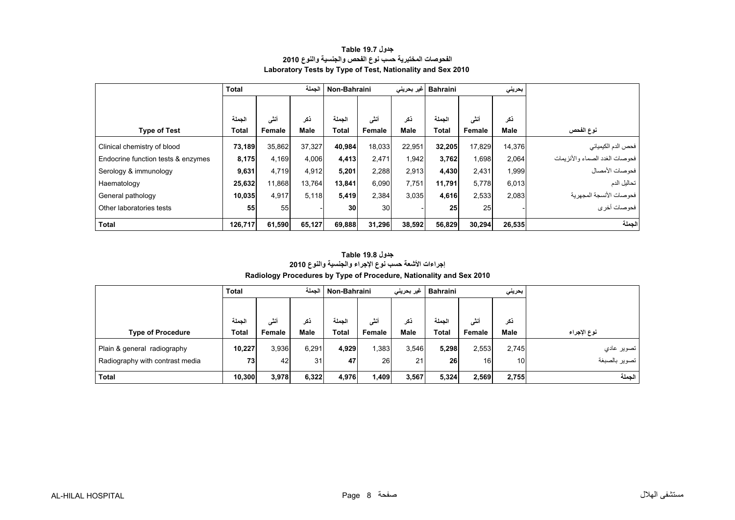<span id="page-6-0"></span>

|                                    | <b>Total</b> |        | الجملة | Non-Bahraini    |        |        | Bahraini  غیر بحرینی |        | بحريلي |                                    |
|------------------------------------|--------------|--------|--------|-----------------|--------|--------|----------------------|--------|--------|------------------------------------|
|                                    |              |        |        |                 |        |        |                      |        |        |                                    |
|                                    | الجملة       | أنشى   | ڏکر    | الجملة          | أنشى   | ذكر    | الجملة               | أنثى   | ذكر    |                                    |
| <b>Type of Test</b>                | <b>Total</b> | Female | Male   | <b>Total</b>    | Female | Male   | <b>Total</b>         | Female | Male   | نوع الفحص                          |
| Clinical chemistry of blood        | 73,189       | 35,862 | 37.327 | 40,984          | 18,033 | 22.951 | 32,205               | 17,829 | 14,376 | فحص الدم الكيميائي                 |
| Endocrine function tests & enzymes | 8,175        | 4.169  | 4,006  | 4,413           | 2,471  | 1,942  | 3,762                | 0.698  | 2.064  | فحو صبات الغدد الصماء و الأنز بمات |
| Serology & immunology              | 9,631        | 4.719  | 4,912  | 5,201           | 2,288  | 2,913  | 4,430                | 2,431  | 1,999  | فحوصات الأمصال                     |
| Haematology                        | 25,632       | 11,868 | 13,764 | 13,841          | 6,090  | 7,751  | 11,791               | 5,778  | 6,013  | تحاليل الدم                        |
| General pathology                  | 10,035       | 4.917  | 5,118  | 5,419           | 2,384  | 3,035  | 4,616                | 2,533  | 2,083  | فحو صبات الأنسجة المجهر ية         |
| Other laboratories tests           | 55           | 55     |        | 30 <sup>1</sup> | 30     |        | 25                   | 25     |        | فحوصات أخرى                        |
| <b>Total</b>                       | 126,717      | 61,590 | 65,127 | 69,888          | 31,296 | 38,592 | 56,829               | 30,294 | 26,535 | الحملة                             |

### **الفحوصات المختبرية حسب نوع الفحص والجنسية والنوع <sup>2010</sup> Laboratory Tests by Type of Test, Nationality and Sex 2010 جدول 19.7 Table**

# **Radiology Procedures by Type of Procedure, Nationality and Sex 2010 جدول 19.8 Table إجراءات األشعة حسب نوع اإلجراء والجنسية والنوع <sup>2010</sup>**

|                                 | <b>Total</b> |        |             | الجملة   Non-Bahraini |        | غیر بحرین <i>ی</i> | Bahraini |                 | بحريني          |               |
|---------------------------------|--------------|--------|-------------|-----------------------|--------|--------------------|----------|-----------------|-----------------|---------------|
|                                 |              |        |             |                       |        |                    |          |                 |                 |               |
|                                 | الحملة       | أنثى   | ذكر         | الحملة                | أنثى   | نکر                | الحملة   | أنشى            | ذكر             |               |
| <b>Type of Procedure</b>        | <b>Total</b> | Female | <b>Male</b> | <b>Total</b>          | Female | <b>Male</b>        | Total    | Female          | <b>Male</b>     | نوع الإجراء   |
| Plain & general radiography     | 10,227       | 3,936  | 6,291       | 4,929                 | .383   | 3,546              | 5,298    | 2,553           | 2.745           | تصوير عادي    |
| Radiography with contrast media | 73           | 42     | 31          | 47                    | 26     | 21                 | 26       | 16 <sup>1</sup> | 10 <sup>1</sup> | تصوير بالصبغة |
| <b>Total</b>                    | 10,300       | 3,978  | 6,322       | 4,976                 | 1,409  | 3,567              | 5,324    | 2,569           | 2,755           | الحملة        |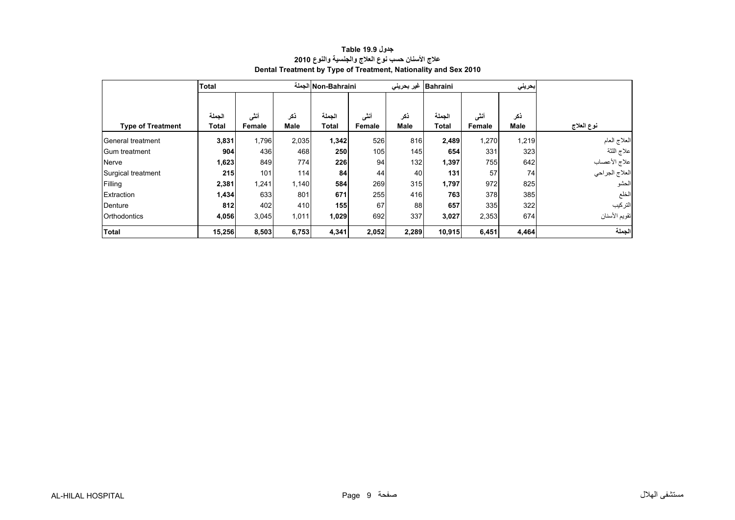<span id="page-7-0"></span>

|                          | <b>Total</b> |        |             | Non-Bahraini الجملة |        | غیر بحرینی  | Bahraini     |               | بحريني |                 |
|--------------------------|--------------|--------|-------------|---------------------|--------|-------------|--------------|---------------|--------|-----------------|
|                          |              |        |             |                     |        |             |              |               |        |                 |
|                          | الجملة       | أنشى   | ذكر         | الجملة              | أننى   | نكر         | الجملة       | أنشى          | ذكر    |                 |
| <b>Type of Treatment</b> | Total        | Female | <b>Male</b> | <b>Total</b>        | Female | <b>Male</b> | <b>Total</b> | <b>Female</b> | Male   | نوع العلاج      |
| General treatment        | 3,831        | 1,796  | 2,035       | 1,342               | 526    | 816         | 2,489        | 1,270         | 1,219  | العلاج العام    |
| <b>Gum treatment</b>     | 904          | 436    | 468         | 250                 | 105    | 145         | 654          | 331           | 323    | علاج اللثة      |
| Nerve                    | 1,623        | 849    | 774         | 226                 | 94     | 132         | 1,397        | 755           | 642    | علاج الأعصاب    |
| Surgical treatment       | 215          | 101    | 114         | 84                  | 44     | 40          | 131          | 57            | 74     | االعلاج الجراحي |
| Filling                  | 2,381        | 1,241  | 1,140       | 584                 | 269    | 315         | 1,797        | 972           | 825    | الحشو           |
| Extraction               | 1,434        | 633    | 801         | 671                 | 255    | 416         | 763          | 378           | 385    | الخلع           |
| Denture                  | 812          | 402    | 410         | 155                 | 67     | 88          | 657          | 335           | 322    | التركيب         |
| <b>Orthodontics</b>      | 4,056        | 3,045  | 1,011       | 1,029               | 692    | 337         | 3,027        | 2,353         | 674    | تقويم الأسنان   |
| <b>Total</b>             | 15,256       | 8,503  | 6,753       | 4,341               | 2,052  | 2,289       | 10,915       | 6,451         | 4,464  | الجملة          |

## **عالج األسنان حسب نوع العالج والجنسية والنوع <sup>2010</sup> Dental Treatment by Type of Treatment, Nationality and Sex 2010 جدول 19.9 Table**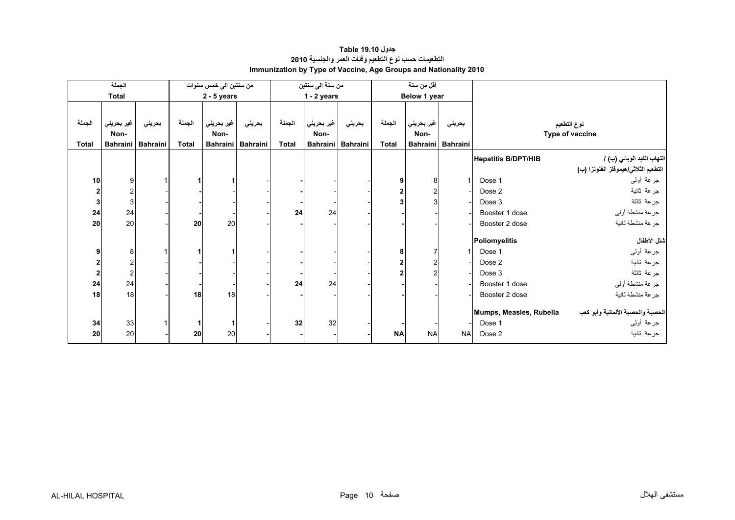<span id="page-8-0"></span>

|                         | الجملة                    |                 |              | من سنتين الى خمس سنوات |                 |              | من سنة الى سنتين |                 |              | أقل من سنة      |                 |                            |                                      |
|-------------------------|---------------------------|-----------------|--------------|------------------------|-----------------|--------------|------------------|-----------------|--------------|-----------------|-----------------|----------------------------|--------------------------------------|
|                         | <b>Total</b>              |                 |              | $2 - 5$ years          |                 |              | $1 - 2$ years    |                 |              | Below 1 year    |                 |                            |                                      |
|                         |                           |                 |              |                        |                 |              |                  |                 |              |                 |                 |                            |                                      |
| الجملة                  | غير بحريني                | بحريني          | الجملة       | غير بحريني             | بحريني          | الجملة       | غير بحريني       | بحريني          | الجملة       | غير بحريني      | بحريني          |                            | نوع التطعيم                          |
|                         | Non-                      |                 |              | Non-                   |                 |              | Non-             |                 |              | Non-            |                 |                            | Type of vaccine                      |
| <b>Total</b>            | <b>Bahraini</b>           | <b>Bahraini</b> | <b>Total</b> | <b>Bahraini</b>        | <b>Bahraini</b> | <b>Total</b> | <b>Bahraini</b>  | <b>Bahraini</b> | <b>Total</b> | <b>Bahraini</b> | <b>Bahraini</b> |                            |                                      |
|                         |                           |                 |              |                        |                 |              |                  |                 |              |                 |                 | <b>Hepatitis B/DPT/HIB</b> | التهاب الكبد الوبائي (ب) /           |
|                         |                           |                 |              |                        |                 |              |                  |                 |              |                 |                 |                            | التطعيم الثلاثي/هيموفلز انفلونزا (ب) |
| 10                      | 9                         |                 |              |                        |                 |              |                  |                 | 9            | 8               |                 | Dose 1                     | جرعة أولىي                           |
| $\mathbf{2}$            | $\overline{\mathbf{c}}$   |                 |              |                        |                 |              |                  |                 | $\mathbf{2}$ |                 |                 | Dose 2                     | جرعة ثانية                           |
| $\mathbf{3}$            | $\ensuremath{\mathsf{3}}$ |                 |              |                        |                 |              |                  |                 |              |                 |                 | Dose 3                     | جرعة ثالثة                           |
| 24                      | 24                        |                 |              |                        |                 | 24           | 24               |                 |              |                 |                 | Booster 1 dose             | جرعة منشطة أولي                      |
| 20 <sup>1</sup>         | 20                        |                 | 20           | 20                     |                 |              |                  |                 |              |                 |                 | Booster 2 dose             | جرعة منشطة ثانية                     |
|                         |                           |                 |              |                        |                 |              |                  |                 |              |                 |                 |                            |                                      |
|                         |                           |                 |              |                        |                 |              |                  |                 |              |                 |                 | Poliomyelitis              | شلل الأطفال                          |
| 9 <sub>l</sub>          | 8                         |                 |              |                        |                 |              |                  |                 | 8            |                 |                 | Dose 1                     | جرعة أولىي                           |
| $\mathbf{z}$            | $\overline{\mathbf{c}}$   |                 |              |                        |                 |              |                  |                 | $\mathbf{2}$ |                 |                 | Dose 2                     | جرعة ثانية                           |
| $\overline{\mathbf{c}}$ | $\boldsymbol{2}$          |                 |              |                        |                 |              |                  |                 |              |                 |                 | Dose 3                     | جرعة ثالثة                           |
| 24                      | 24                        |                 |              |                        |                 | 24           | 24               |                 |              |                 |                 | Booster 1 dose             | جرعة منشطة أوليي                     |
| 18                      | 18                        |                 | 18           | 18                     |                 |              |                  |                 |              |                 |                 | Booster 2 dose             | جرعة منشطة ثانية                     |
|                         |                           |                 |              |                        |                 |              |                  |                 |              |                 |                 | Mumps, Measles, Rubella    | الحصبة والحصبة الألمانية وأبو كعب    |
| 34                      | 33                        |                 |              | $\mathbf{1}$           |                 | 32           | 32               |                 |              |                 |                 | Dose 1                     | جرعة أولىي                           |
| 20                      | 20                        |                 | 20           | 20                     |                 |              |                  |                 | <b>NA</b>    | <b>NA</b>       | <b>NA</b>       | Dose 2                     |                                      |
|                         |                           |                 |              |                        |                 |              |                  |                 |              |                 |                 |                            | جرعة ثانية                           |

## **التطعيمات حسب نوع التطعيم وفئات العمر والجنسية <sup>2010</sup> Immunization by Type of Vaccine, Age Groups and Nationality 2010 جدول 19.10 Table**